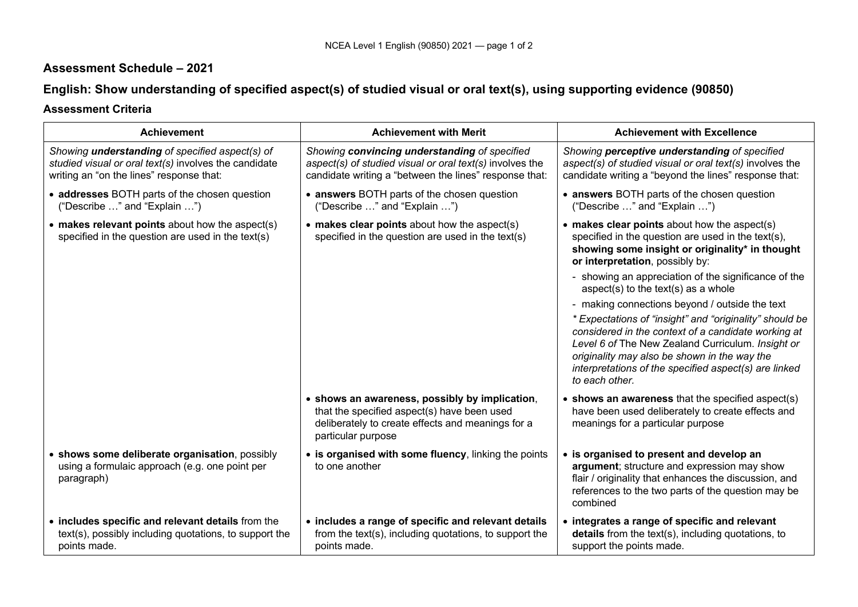## **Assessment Schedule – 2021**

# **English: Show understanding of specified aspect(s) of studied visual or oral text(s), using supporting evidence (90850)**

## **Assessment Criteria**

| <b>Achievement</b>                                                                                                                                          | <b>Achievement with Merit</b>                                                                                                                                            | <b>Achievement with Excellence</b>                                                                                                                                                                                                                                                                                                                                                                                                                                                                                                                                                                                                          |
|-------------------------------------------------------------------------------------------------------------------------------------------------------------|--------------------------------------------------------------------------------------------------------------------------------------------------------------------------|---------------------------------------------------------------------------------------------------------------------------------------------------------------------------------------------------------------------------------------------------------------------------------------------------------------------------------------------------------------------------------------------------------------------------------------------------------------------------------------------------------------------------------------------------------------------------------------------------------------------------------------------|
| Showing <i>understanding</i> of specified aspect(s) of<br>studied visual or oral text(s) involves the candidate<br>writing an "on the lines" response that: | Showing convincing understanding of specified<br>aspect(s) of studied visual or oral text(s) involves the<br>candidate writing a "between the lines" response that:      | Showing perceptive understanding of specified<br>aspect(s) of studied visual or oral text(s) involves the<br>candidate writing a "beyond the lines" response that:                                                                                                                                                                                                                                                                                                                                                                                                                                                                          |
| • addresses BOTH parts of the chosen question<br>("Describe " and "Explain ")                                                                               | • answers BOTH parts of the chosen question<br>("Describe " and "Explain ")                                                                                              | • answers BOTH parts of the chosen question<br>("Describe " and "Explain ")                                                                                                                                                                                                                                                                                                                                                                                                                                                                                                                                                                 |
| $\bullet$ makes relevant points about how the aspect(s)<br>specified in the question are used in the text(s)                                                | • makes clear points about how the aspect(s)<br>specified in the question are used in the text(s)                                                                        | • makes clear points about how the aspect(s)<br>specified in the question are used in the text(s),<br>showing some insight or originality* in thought<br>or interpretation, possibly by:<br>- showing an appreciation of the significance of the<br>aspect(s) to the text(s) as a whole<br>- making connections beyond / outside the text<br>* Expectations of "insight" and "originality" should be<br>considered in the context of a candidate working at<br>Level 6 of The New Zealand Curriculum. Insight or<br>originality may also be shown in the way the<br>interpretations of the specified aspect(s) are linked<br>to each other. |
|                                                                                                                                                             | • shows an awareness, possibly by implication,<br>that the specified aspect(s) have been used<br>deliberately to create effects and meanings for a<br>particular purpose | • shows an awareness that the specified aspect(s)<br>have been used deliberately to create effects and<br>meanings for a particular purpose                                                                                                                                                                                                                                                                                                                                                                                                                                                                                                 |
| • shows some deliberate organisation, possibly<br>using a formulaic approach (e.g. one point per<br>paragraph)                                              | • is organised with some fluency, linking the points<br>to one another                                                                                                   | • is organised to present and develop an<br>argument; structure and expression may show<br>flair / originality that enhances the discussion, and<br>references to the two parts of the question may be<br>combined                                                                                                                                                                                                                                                                                                                                                                                                                          |
| • includes specific and relevant details from the<br>text(s), possibly including quotations, to support the<br>points made.                                 | • includes a range of specific and relevant details<br>from the text(s), including quotations, to support the<br>points made.                                            | • integrates a range of specific and relevant<br>details from the text(s), including quotations, to<br>support the points made.                                                                                                                                                                                                                                                                                                                                                                                                                                                                                                             |